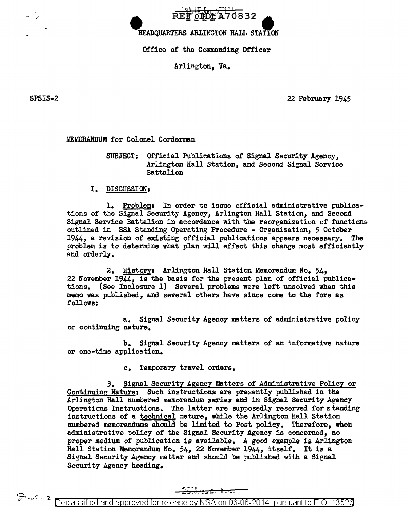

HEADQUARTERS ARLINGTON HALL STATION

Office of the Commanding Officer

Arlington, Va.

SPSIS-2

22 February 1945

MEMORANDUM for Colonel Corderman

SUBJECT: Official Publications of Signal Security Agency, Arlington Hall Station, and Second Signal Service **Battalion** 

I. DISCUSSION:

1. Problem: In order to issue official administrative publications of the Signal Security Agency, Arlington Hall Station, and Second Signal Service Battalion in accordance with the reorganization of functions outlined in SSA Standing Operating Procedure - Organization, 5 October 1944, a revision of existing official publications appears necessary. The problem is to determine what plan will effect this change most efficiently and orderly.

2. History: Arlington Hall Station Memorandum No. 54, 22 November 1944, is the basis for the present plan of official publications. (See Inclosure 1) Several problems were left unsolved when this memo was published, and several others have since come to the fore as follows:

a. Signal Security Agency matters of administrative policy or continuing nature.

b. Signal Security Agency matters of an informative nature or one-time application.

> Temporary travel orders.  $c_{\bullet}$

3. Signal Security Agency Matters of Administrative Policy or Continuing Nature: Such instructions are presently published in the Arlington Hall numbered memorandum series and in Signal Security Agency Operations Instructions. The latter are supposedly reserved for standing instructions of a technical nature, while the Arlington Hall Station numbered memorandums should be limited to Post policy. Therefore, when administrative policy of the Signal Security Agency is concerned, no proper medium of publication is available. A good example is Arlington Hall Station Memorandum No. 54, 22 November 1944, itself. It is a Signal Security Agency matter and should be published with a Signal Security Agency heading.

<del>CGHF:da.allia</del>

Declassified and approved for release by NSA on 06-06-2014 pursuant to E.O. 13526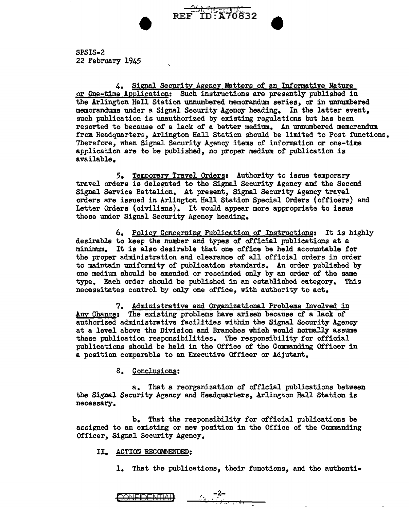

SPSIS-2 22 February 1945

4. Signal Security Agency Matters of an Informative Nature or One-time Application: Such instructions are presently published in the Arlington Hall Station unnumbered memorandum series, or in unnumbered memorandums under a Signal Security Agency heading. In the latter event, such publication is unauthorized by existing regulations but has been resorted to because of a lack of a better medium. An unnumbered memorandum from Headquarters, Arlington Hall Station should be limited to Post functions. Therefore, when Signal Security Agency items of information or one-time application are to be published, no proper medium of publication is available.

5. Temporary Travel Orders: Authority to issue temporary travel orders is delegated to the Signal Security Agency and the Second Signal Service Battalion. At present, Signal Security Agency trayel orders are issued in Arlington Hall Station Special Orders (officers) and Letter Orders {civilians). It would appear more appropriate to issue these under Signal Security Agency heading.

6. Policy Concerning Publication of Instructionst It is highly desirable to keep the number and types of official publications at a minimum. It is also desirable that one office be held accountable for the proper administration and clearance of all official orders in order to maintain uniformity of publication standards. An order published by one medium should be amended or rescinded only by an order of the same type. Each order should be published in an established category. This necessitates control by only one office, with authority to act.

7. Administrative and Organizational Problems Involved in Any Change: The existing problems have arisen because of a lack of authorized administrative facilities within the Signal Security Agency at a level above the Division and Branches which would normally assume these publication responsibilities. The responsibility for official publications should be held in the Office of the Commanding Officer in a position comparable to an Executive Officer or Adjutant.

### 8. Conclusions:

a. That a reorganization of official publications between the Signal Security Agency and Headquarters, Arlington Hall Station is necessary.

b. That the responsibility for official publications be assigned to an existing or new position in the Office of the Commanding Officer, Signal Security Agency.

#### II. ACTION RECOMMENDED:

1. That the publications, their functions, and the authenti-

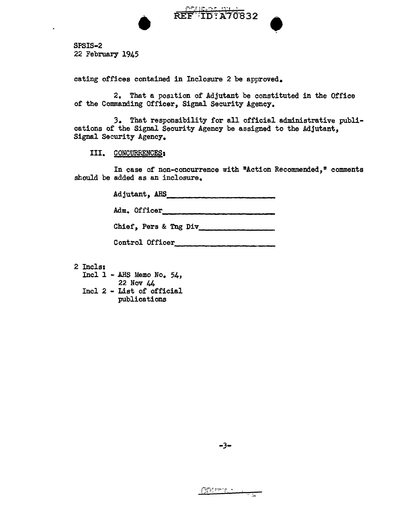

SPSIS-2 22 February 1945

eating offices contained in Inclosure 2 be approved.

2. That a position of Adjutant be constituted in the Office of the Commanding Officer, Signal Security Agency.

*3.* That responsibility for all official administrative publications of the Signal Security Agency be assigned to the Adjutant, Signal Security Agency.

III. CONCURRENCES:

In case of non-concurrence with "Action Recommended," comments should be added as an inclosure.

Adjutant, AHS \_\_\_\_\_\_\_\_\_\_\_\_\_\_\_\_\_\_\_\_\_\_\_\_\_

Adm. Officer -~~----~----~--

Chief, Pers & Tng Div

Control Officer

- 2 Incls:
	- Incl 1 AHS Memo No. 54, 22 Nov 44 Incl 2 - List of official publications

سي - مستقرر المالية الأمريكية المالية المالية المريضة المالية المريضة المالية المريضة المريضة المريضة المريضة<br>مستقرر المريضة المريضة المريضة المريضة المريضة المريضة المريضة المريضة المريضة المريضة المريضة المريضة المريضة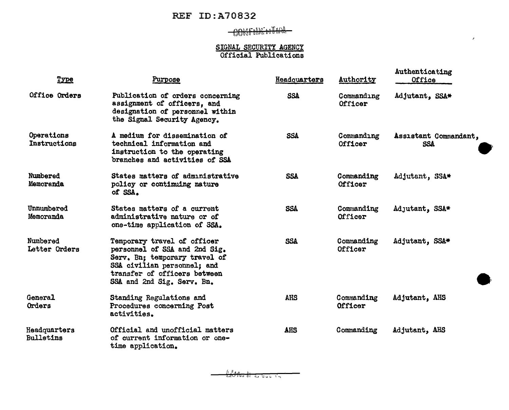## REF ID:A70832

# $0055000$  both  $-$

### SIGNAL SECURITY AGENCY Official Publications

 $\mathcal{E}$ 

| Type                             | <b>Purpose</b>                                                                                                                                                                             | Headquarters | Authority                    | Authenticating<br>Office            |
|----------------------------------|--------------------------------------------------------------------------------------------------------------------------------------------------------------------------------------------|--------------|------------------------------|-------------------------------------|
| Office Orders                    | Publication of orders concerning<br>assignment of officers, and<br>designation of personnel within<br>the Signal Security Agency.                                                          | <b>SSA</b>   | Commanding<br>Officer        | Adjutant, SSA*                      |
| Operations<br>Instructions       | A medium for dissemination of<br>technical information and<br>instruction to the operating<br>branches and activities of SSA                                                               | SSA          | Commanding<br>Officer        | Assistant Commandant,<br><b>SSA</b> |
| Numbered<br>Memoranda            | States matters of administrative<br>policy or continuing nature<br>of SSA.                                                                                                                 | <b>SSA</b>   | Commanding<br><b>Officer</b> | Adjutant, SSA*                      |
| Unnumbered<br>Memoranda          | States matters of a current<br>administrative nature or of<br>one-time application of SSA.                                                                                                 | <b>SSA</b>   | Commanding<br>Officer        | Adjutant, SSA*                      |
| Numbered<br>Letter Orders        | Temporary travel of officer<br>personnel of SSA and 2nd Sig.<br>Serv. Bn; temporary travel of<br>SSA civilian personnel; and<br>transfer of officers between<br>SSA and 2nd Sig. Serv. Bn. | <b>SSA</b>   | Commanding<br>Officer        | Adjutant, SSA*                      |
| <b>General</b><br>Orders         | Standing Regulations and<br>Procedures concerning Post<br>activities.                                                                                                                      | <b>AHS</b>   | Commanding<br>Officer        | Adjutant, AHS                       |
| Headquarters<br><b>Bulletins</b> | Official and unofficial matters<br>of current information or one-<br>time application.                                                                                                     | <b>AHS</b>   | Commanding                   | Adjutant, AHS                       |

<del>(2011). 11 - 11 - 11 - 11</del>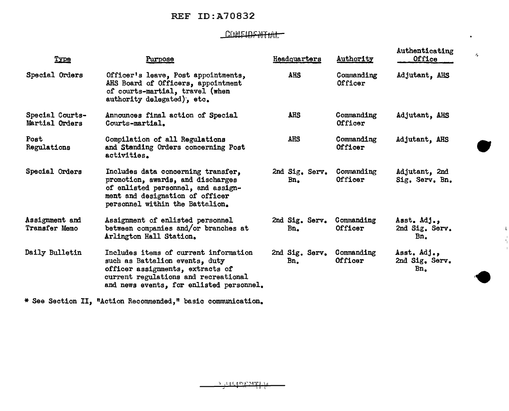### REF ID:A70832

## CONFIDENTIAL

 $\bullet$ 

 $\mathbf{l}_\mathrm{r}$  $\mathbf{I}_\parallel$  $\bar{\rm I}$ 

| Type                                   | Purpose                                                                                                                                                                                         | Headquarters                                | Authority             | Authenticating<br>Office                        | 么 |
|----------------------------------------|-------------------------------------------------------------------------------------------------------------------------------------------------------------------------------------------------|---------------------------------------------|-----------------------|-------------------------------------------------|---|
| Special Orders                         | Officer's leave, Post appointments,<br>AHS Board of Officers, appointment<br>of courts-martial, travel (when<br>authority delegated), etc.                                                      | <b>AHS</b>                                  | Commanding<br>Officer | Adjutant, AHS                                   |   |
| Special Courts-<br>Martial Orders      | Announces final action of Special<br>Courts-martial.                                                                                                                                            | AHS                                         | Commanding<br>Officer | Adjutant, AHS                                   |   |
| Post<br>Regulations                    | Compilation of all Regulations<br>and Standing Orders concerning Post<br>activities.                                                                                                            | AHS                                         | Commanding<br>Officer | Adjutant, AHS                                   |   |
| Special Orders                         | Includes data concerning transfer,<br>promotion, awards, and discharges<br>of enlisted personnel, and assign-<br>ment and designation of officer<br>personnel within the Battalion.             | 2nd Sig. Serv.<br>$Bn_{\bullet}$            | Commanding<br>Officer | Adjutant, 2nd<br>Sig. Serv. Bn.                 |   |
| Assignment and<br><b>Transfer Memo</b> | Assignment of enlisted personnel<br>between companies and/or branches at<br>Arlington Hall Station.                                                                                             | 2nd Sig. Serv. Commanding<br>$Bn_{\bullet}$ | Officer               | Asst. Adj.,<br>2nd Sig. Serv.<br>Bn.            |   |
| Daily Bulletin                         | Includes items of current information<br>such as Battalion events, duty<br>officer assignments, extracts of<br>current regulations and recreational<br>and news events, for enlisted personnel. | 2nd Sig. Serv.<br>Bn.                       | Commanding<br>Officer | Asst. Adj.,<br>2nd Sig. Serv.<br>$Bn_{\bullet}$ |   |

\* See Section II, "Action Recommended," basic communication.